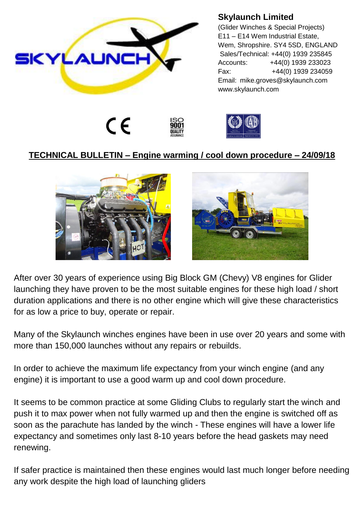

## **Skylaunch Limited**

(Glider Winches & Special Projects) E11 – E14 Wem Industrial Estate, Wem, Shropshire. SY4 5SD, ENGLAND Sales/Technical: +44(0) 1939 235845 Accounts: +44(0) 1939 233023 Fax: +44(0) 1939 234059 Email: mike.groves@skylaunch.com www.skylaunch.com





## **TECHNICAL BULLETIN – Engine warming / cool down procedure – 24/09/18**





After over 30 years of experience using Big Block GM (Chevy) V8 engines for Glider launching they have proven to be the most suitable engines for these high load / short duration applications and there is no other engine which will give these characteristics for as low a price to buy, operate or repair.

Many of the Skylaunch winches engines have been in use over 20 years and some with more than 150,000 launches without any repairs or rebuilds.

In order to achieve the maximum life expectancy from your winch engine (and any engine) it is important to use a good warm up and cool down procedure.

It seems to be common practice at some Gliding Clubs to regularly start the winch and push it to max power when not fully warmed up and then the engine is switched off as soon as the parachute has landed by the winch - These engines will have a lower life expectancy and sometimes only last 8-10 years before the head gaskets may need renewing.

If safer practice is maintained then these engines would last much longer before needing any work despite the high load of launching gliders